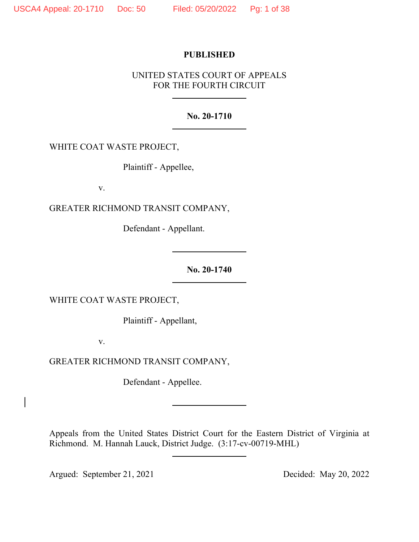# **PUBLISHED**

# UNITED STATES COURT OF APPEALS FOR THE FOURTH CIRCUIT

## **No. 20-1710**

WHITE COAT WASTE PROJECT,

Plaintiff - Appellee,

v.

GREATER RICHMOND TRANSIT COMPANY,

Defendant - Appellant.

**No. 20-1740**

WHITE COAT WASTE PROJECT,

Plaintiff - Appellant,

v.

GREATER RICHMOND TRANSIT COMPANY,

Defendant - Appellee.

Appeals from the United States District Court for the Eastern District of Virginia at Richmond. M. Hannah Lauck, District Judge. (3:17-cv-00719-MHL)

Argued: September 21, 2021 Decided: May 20, 2022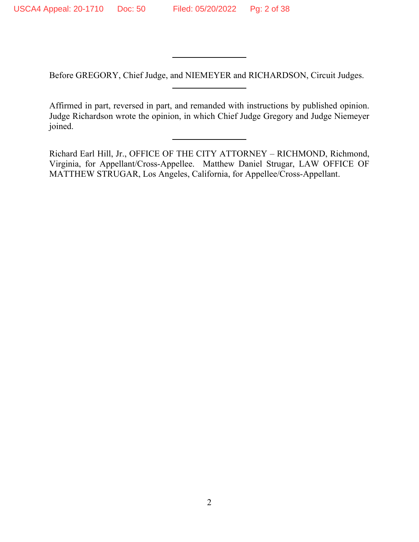Before GREGORY, Chief Judge, and NIEMEYER and RICHARDSON, Circuit Judges.

Affirmed in part, reversed in part, and remanded with instructions by published opinion. Judge Richardson wrote the opinion, in which Chief Judge Gregory and Judge Niemeyer joined.

Richard Earl Hill, Jr., OFFICE OF THE CITY ATTORNEY – RICHMOND, Richmond, Virginia, for Appellant/Cross-Appellee. Matthew Daniel Strugar, LAW OFFICE OF MATTHEW STRUGAR, Los Angeles, California, for Appellee/Cross-Appellant.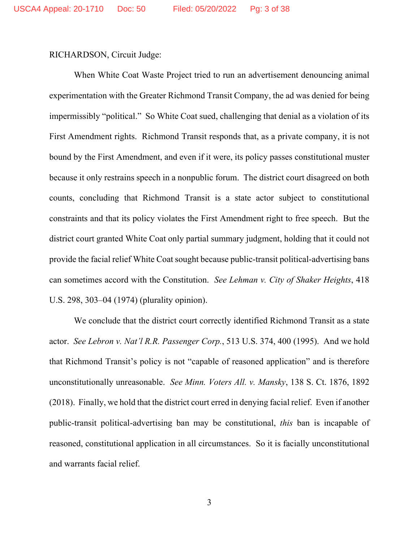RICHARDSON, Circuit Judge:

When White Coat Waste Project tried to run an advertisement denouncing animal experimentation with the Greater Richmond Transit Company, the ad was denied for being impermissibly "political." So White Coat sued, challenging that denial as a violation of its First Amendment rights. Richmond Transit responds that, as a private company, it is not bound by the First Amendment, and even if it were, its policy passes constitutional muster because it only restrains speech in a nonpublic forum. The district court disagreed on both counts, concluding that Richmond Transit is a state actor subject to constitutional constraints and that its policy violates the First Amendment right to free speech. But the district court granted White Coat only partial summary judgment, holding that it could not provide the facial relief White Coat sought because public-transit political-advertising bans can sometimes accord with the Constitution. *See Lehman v. City of Shaker Heights*, 418 U.S. 298, 303–04 (1974) (plurality opinion).

We conclude that the district court correctly identified Richmond Transit as a state actor. *See Lebron v. Nat'l R.R. Passenger Corp.*, 513 U.S. 374, 400 (1995). And we hold that Richmond Transit's policy is not "capable of reasoned application" and is therefore unconstitutionally unreasonable. *See Minn. Voters All. v. Mansky*, 138 S. Ct. 1876, 1892 (2018). Finally, we hold that the district court erred in denying facial relief. Even if another public-transit political-advertising ban may be constitutional, *this* ban is incapable of reasoned, constitutional application in all circumstances. So it is facially unconstitutional and warrants facial relief.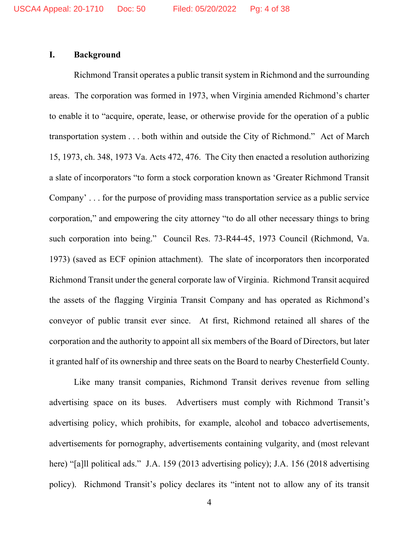# **I. Background**

Richmond Transit operates a public transit system in Richmond and the surrounding areas. The corporation was formed in 1973, when Virginia amended Richmond's charter to enable it to "acquire, operate, lease, or otherwise provide for the operation of a public transportation system . . . both within and outside the City of Richmond." Act of March 15, 1973, ch. 348, 1973 Va. Acts 472, 476. The City then enacted a resolution authorizing a slate of incorporators "to form a stock corporation known as 'Greater Richmond Transit Company' . . . for the purpose of providing mass transportation service as a public service corporation," and empowering the city attorney "to do all other necessary things to bring such corporation into being." Council Res. 73-R44-45, 1973 Council (Richmond, Va. 1973) (saved as ECF opinion attachment). The slate of incorporators then incorporated Richmond Transit under the general corporate law of Virginia. Richmond Transit acquired the assets of the flagging Virginia Transit Company and has operated as Richmond's conveyor of public transit ever since. At first, Richmond retained all shares of the corporation and the authority to appoint all six members of the Board of Directors, but later it granted half of its ownership and three seats on the Board to nearby Chesterfield County.

Like many transit companies, Richmond Transit derives revenue from selling advertising space on its buses. Advertisers must comply with Richmond Transit's advertising policy, which prohibits, for example, alcohol and tobacco advertisements, advertisements for pornography, advertisements containing vulgarity, and (most relevant here) "[a]ll political ads." J.A. 159 (2013 advertising policy); J.A. 156 (2018 advertising policy). Richmond Transit's policy declares its "intent not to allow any of its transit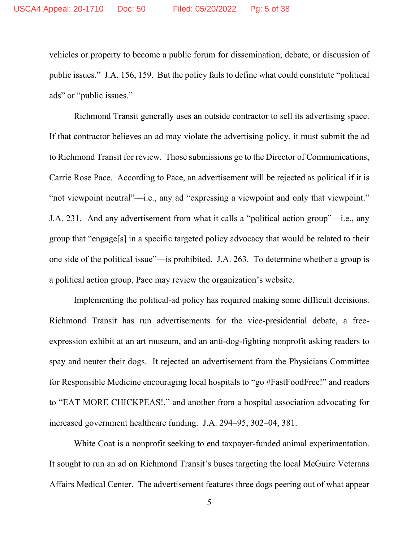vehicles or property to become a public forum for dissemination, debate, or discussion of public issues." J.A. 156, 159. But the policy fails to define what could constitute "political ads" or "public issues."

Richmond Transit generally uses an outside contractor to sell its advertising space. If that contractor believes an ad may violate the advertising policy, it must submit the ad to Richmond Transit for review. Those submissions go to the Director of Communications, Carrie Rose Pace. According to Pace, an advertisement will be rejected as political if it is "not viewpoint neutral"—i.e., any ad "expressing a viewpoint and only that viewpoint." J.A. 231. And any advertisement from what it calls a "political action group"—i.e., any group that "engage[s] in a specific targeted policy advocacy that would be related to their one side of the political issue"—is prohibited. J.A. 263. To determine whether a group is a political action group, Pace may review the organization's website.

Implementing the political-ad policy has required making some difficult decisions. Richmond Transit has run advertisements for the vice-presidential debate, a freeexpression exhibit at an art museum, and an anti-dog-fighting nonprofit asking readers to spay and neuter their dogs. It rejected an advertisement from the Physicians Committee for Responsible Medicine encouraging local hospitals to "go #FastFoodFree!" and readers to "EAT MORE CHICKPEAS!," and another from a hospital association advocating for increased government healthcare funding. J.A. 294–95, 302–04, 381.

White Coat is a nonprofit seeking to end taxpayer-funded animal experimentation. It sought to run an ad on Richmond Transit's buses targeting the local McGuire Veterans Affairs Medical Center. The advertisement features three dogs peering out of what appear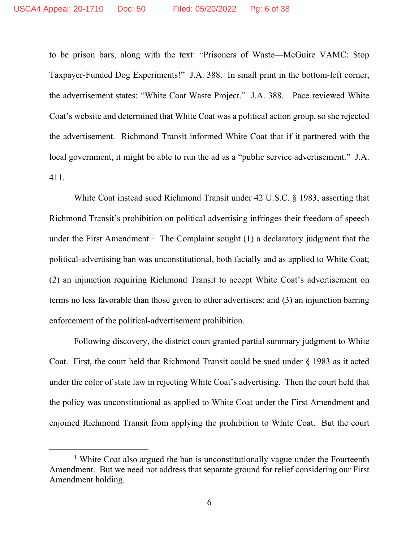to be prison bars, along with the text: "Prisoners of Waste—McGuire VAMC: Stop Taxpayer-Funded Dog Experiments!" J.A. 388. In small print in the bottom-left corner, the advertisement states: "White Coat Waste Project." J.A. 388. Pace reviewed White Coat's website and determined that White Coat was a political action group, so she rejected the advertisement. Richmond Transit informed White Coat that if it partnered with the local government, it might be able to run the ad as a "public service advertisement." J.A. 411.

White Coat instead sued Richmond Transit under 42 U.S.C. § 1983, asserting that Richmond Transit's prohibition on political advertising infringes their freedom of speech under the First Amendment.<sup>[1](#page-5-0)</sup> The Complaint sought  $(1)$  a declaratory judgment that the political-advertising ban was unconstitutional, both facially and as applied to White Coat; (2) an injunction requiring Richmond Transit to accept White Coat's advertisement on terms no less favorable than those given to other advertisers; and (3) an injunction barring enforcement of the political-advertisement prohibition.

Following discovery, the district court granted partial summary judgment to White Coat. First, the court held that Richmond Transit could be sued under § 1983 as it acted under the color of state law in rejecting White Coat's advertising. Then the court held that the policy was unconstitutional as applied to White Coat under the First Amendment and enjoined Richmond Transit from applying the prohibition to White Coat. But the court

<span id="page-5-0"></span><sup>&</sup>lt;sup>1</sup> White Coat also argued the ban is unconstitutionally vague under the Fourteenth Amendment. But we need not address that separate ground for relief considering our First Amendment holding.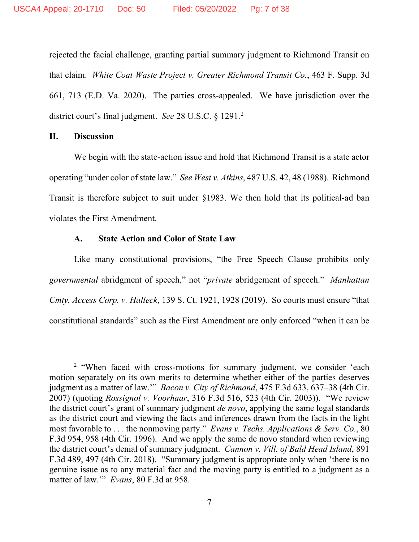rejected the facial challenge, granting partial summary judgment to Richmond Transit on that claim. *White Coat Waste Project v. Greater Richmond Transit Co.*, 463 F. Supp. 3d 661, 713 (E.D. Va. 2020). The parties cross-appealed. We have jurisdiction over the district court's final judgment. *See* 28 U.S.C. § 1291.[2](#page-6-0)

# **II. Discussion**

We begin with the state-action issue and hold that Richmond Transit is a state actor operating "under color of state law." *See West v. Atkins*, 487 U.S. 42, 48 (1988). Richmond Transit is therefore subject to suit under §1983. We then hold that its political-ad ban violates the First Amendment.

#### **A. State Action and Color of State Law**

Like many constitutional provisions, "the Free Speech Clause prohibits only *governmental* abridgment of speech," not "*private* abridgement of speech." *Manhattan Cmty. Access Corp. v. Halleck*, 139 S. Ct. 1921, 1928 (2019). So courts must ensure "that constitutional standards" such as the First Amendment are only enforced "when it can be

<span id="page-6-0"></span><sup>&</sup>lt;sup>2</sup> "When faced with cross-motions for summary judgment, we consider 'each motion separately on its own merits to determine whether either of the parties deserves judgment as a matter of law.'" *Bacon v. City of Richmond*, 475 F.3d 633, 637–38 (4th Cir. 2007) (quoting *Rossignol v. Voorhaar*, 316 F.3d 516, 523 (4th Cir. 2003)). "We review the district court's grant of summary judgment *de novo*, applying the same legal standards as the district court and viewing the facts and inferences drawn from the facts in the light most favorable to . . . the nonmoving party." *Evans v. Techs. Applications & Serv. Co.*, 80 F.3d 954, 958 (4th Cir. 1996). And we apply the same de novo standard when reviewing the district court's denial of summary judgment. *Cannon v. Vill. of Bald Head Island*, 891 F.3d 489, 497 (4th Cir. 2018). "Summary judgment is appropriate only when 'there is no genuine issue as to any material fact and the moving party is entitled to a judgment as a matter of law.'" *Evans*, 80 F.3d at 958.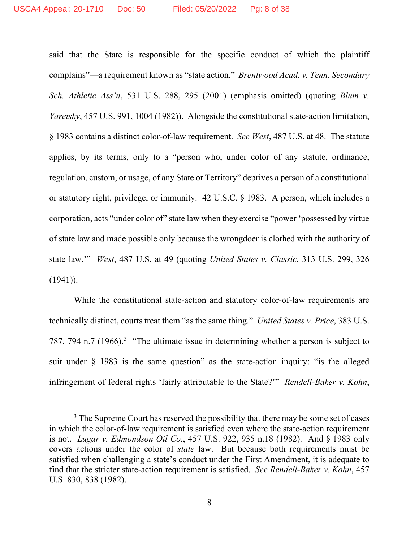said that the State is responsible for the specific conduct of which the plaintiff complains"—a requirement known as "state action." *Brentwood Acad. v. Tenn. Secondary Sch. Athletic Ass'n*, 531 U.S. 288, 295 (2001) (emphasis omitted) (quoting *Blum v. Yaretsky*, 457 U.S. 991, 1004 (1982)). Alongside the constitutional state-action limitation, § 1983 contains a distinct color-of-law requirement. *See West*, 487 U.S. at 48. The statute applies, by its terms, only to a "person who, under color of any statute, ordinance, regulation, custom, or usage, of any State or Territory" deprives a person of a constitutional or statutory right, privilege, or immunity. 42 U.S.C. § 1983. A person, which includes a corporation, acts "under color of" state law when they exercise "power 'possessed by virtue of state law and made possible only because the wrongdoer is clothed with the authority of state law.'" *West*, 487 U.S. at 49 (quoting *United States v. Classic*, 313 U.S. 299, 326  $(1941)$ ).

While the constitutional state-action and statutory color-of-law requirements are technically distinct, courts treat them "as the same thing." *United States v. Price*, 383 U.S. 787, 794 n.7 (1966).<sup>[3](#page-7-0)</sup> "The ultimate issue in determining whether a person is subject to suit under § 1983 is the same question" as the state-action inquiry: "is the alleged infringement of federal rights 'fairly attributable to the State?'" *Rendell-Baker v. Kohn*,

<span id="page-7-0"></span> $3$  The Supreme Court has reserved the possibility that there may be some set of cases in which the color-of-law requirement is satisfied even where the state-action requirement is not. *Lugar v. Edmondson Oil Co.*, 457 U.S. 922, 935 n.18 (1982). And § 1983 only covers actions under the color of *state* law. But because both requirements must be satisfied when challenging a state's conduct under the First Amendment, it is adequate to find that the stricter state-action requirement is satisfied. *See Rendell-Baker v. Kohn*, 457 U.S. 830, 838 (1982).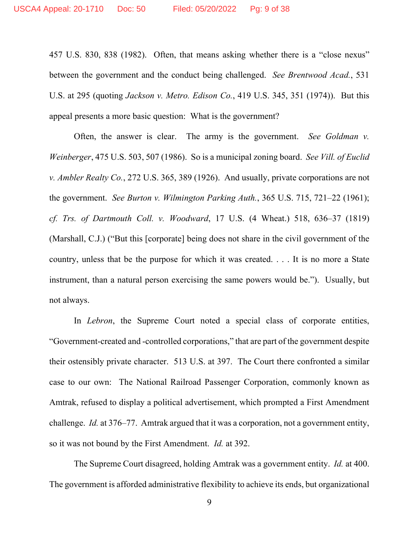457 U.S. 830, 838 (1982). Often, that means asking whether there is a "close nexus" between the government and the conduct being challenged. *See Brentwood Acad.*, 531 U.S. at 295 (quoting *Jackson v. Metro. Edison Co.*, 419 U.S. 345, 351 (1974)). But this appeal presents a more basic question: What is the government?

Often, the answer is clear. The army is the government. *See Goldman v. Weinberger*, 475 U.S. 503, 507 (1986). So is a municipal zoning board. *See Vill. of Euclid v. Ambler Realty Co.*, 272 U.S. 365, 389 (1926). And usually, private corporations are not the government. *See Burton v. Wilmington Parking Auth.*, 365 U.S. 715, 721–22 (1961); *cf. Trs. of Dartmouth Coll. v. Woodward*, 17 U.S. (4 Wheat.) 518, 636–37 (1819) (Marshall, C.J.) ("But this [corporate] being does not share in the civil government of the country, unless that be the purpose for which it was created. . . . It is no more a State instrument, than a natural person exercising the same powers would be."). Usually, but not always.

In *Lebron*, the Supreme Court noted a special class of corporate entities, "Government-created and -controlled corporations," that are part of the government despite their ostensibly private character. 513 U.S. at 397. The Court there confronted a similar case to our own: The National Railroad Passenger Corporation, commonly known as Amtrak, refused to display a political advertisement, which prompted a First Amendment challenge. *Id.* at 376–77. Amtrak argued that it was a corporation, not a government entity, so it was not bound by the First Amendment. *Id.* at 392.

The Supreme Court disagreed, holding Amtrak was a government entity. *Id.* at 400. The government is afforded administrative flexibility to achieve its ends, but organizational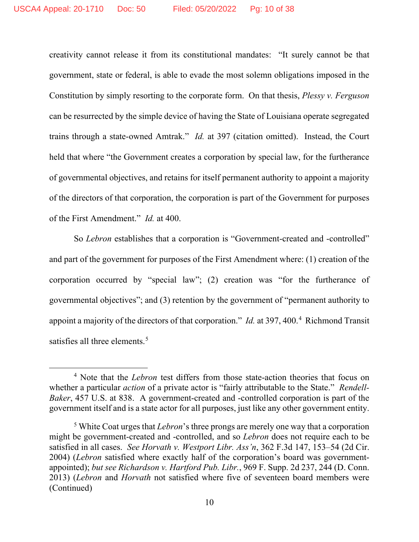creativity cannot release it from its constitutional mandates: "It surely cannot be that government, state or federal, is able to evade the most solemn obligations imposed in the Constitution by simply resorting to the corporate form. On that thesis, *Plessy v. Ferguson* can be resurrected by the simple device of having the State of Louisiana operate segregated trains through a state-owned Amtrak." *Id.* at 397 (citation omitted). Instead, the Court held that where "the Government creates a corporation by special law, for the furtherance of governmental objectives, and retains for itself permanent authority to appoint a majority of the directors of that corporation, the corporation is part of the Government for purposes of the First Amendment." *Id.* at 400.

So *Lebron* establishes that a corporation is "Government-created and -controlled" and part of the government for purposes of the First Amendment where: (1) creation of the corporation occurred by "special law"; (2) creation was "for the furtherance of governmental objectives"; and (3) retention by the government of "permanent authority to appoint a majority of the directors of that corporation." *Id.* at 397, [4](#page-9-0)00.<sup>4</sup> Richmond Transit satisfies all three elements.<sup>[5](#page-9-1)</sup>

<span id="page-9-0"></span><sup>4</sup> Note that the *Lebron* test differs from those state-action theories that focus on whether a particular *action* of a private actor is "fairly attributable to the State." *Rendell-Baker*, 457 U.S. at 838. A government-created and -controlled corporation is part of the government itself and is a state actor for all purposes, just like any other government entity.

<span id="page-9-1"></span><sup>5</sup> White Coat urges that *Lebron*'s three prongs are merely one way that a corporation might be government-created and -controlled, and so *Lebron* does not require each to be satisfied in all cases. *See Horvath v. Westport Libr. Ass'n*, 362 F.3d 147, 153–54 (2d Cir. 2004) (*Lebron* satisfied where exactly half of the corporation's board was governmentappointed); *but see Richardson v. Hartford Pub. Libr.*, 969 F. Supp. 2d 237, 244 (D. Conn. 2013) (*Lebron* and *Horvath* not satisfied where five of seventeen board members were (Continued)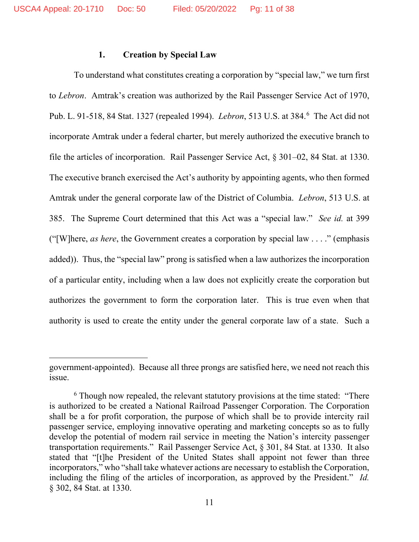#### **1. Creation by Special Law**

To understand what constitutes creating a corporation by "special law," we turn first to *Lebron*. Amtrak's creation was authorized by the Rail Passenger Service Act of 1970, Pub. L. 91-518, 84 Stat. 1327 (repealed 1994). *Lebron*, 513 U.S. at 384.[6](#page-10-0) The Act did not incorporate Amtrak under a federal charter, but merely authorized the executive branch to file the articles of incorporation. Rail Passenger Service Act, § 301–02, 84 Stat. at 1330. The executive branch exercised the Act's authority by appointing agents, who then formed Amtrak under the general corporate law of the District of Columbia. *Lebron*, 513 U.S. at 385. The Supreme Court determined that this Act was a "special law." *See id.* at 399 ("[W]here, *as here*, the Government creates a corporation by special law . . . ." (emphasis added)). Thus, the "special law" prong is satisfied when a law authorizes the incorporation of a particular entity, including when a law does not explicitly create the corporation but authorizes the government to form the corporation later. This is true even when that authority is used to create the entity under the general corporate law of a state. Such a

government-appointed). Because all three prongs are satisfied here, we need not reach this issue.

<span id="page-10-0"></span> $6$  Though now repealed, the relevant statutory provisions at the time stated: "There is authorized to be created a National Railroad Passenger Corporation. The Corporation shall be a for profit corporation, the purpose of which shall be to provide intercity rail passenger service, employing innovative operating and marketing concepts so as to fully develop the potential of modern rail service in meeting the Nation's intercity passenger transportation requirements." Rail Passenger Service Act, § 301, 84 Stat. at 1330. It also stated that "[t]he President of the United States shall appoint not fewer than three incorporators," who "shall take whatever actions are necessary to establish the Corporation, including the filing of the articles of incorporation, as approved by the President." *Id.*  § 302, 84 Stat. at 1330.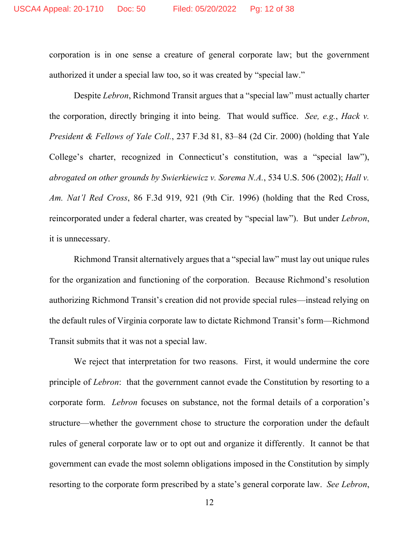corporation is in one sense a creature of general corporate law; but the government authorized it under a special law too, so it was created by "special law."

Despite *Lebron*, Richmond Transit argues that a "special law" must actually charter the corporation, directly bringing it into being. That would suffice. *See, e.g.*, *Hack v. President & Fellows of Yale Coll.*, 237 F.3d 81, 83–84 (2d Cir. 2000) (holding that Yale College's charter, recognized in Connecticut's constitution, was a "special law"), *abrogated on other grounds by Swierkiewicz v. Sorema N.A.*, 534 U.S. 506 (2002); *Hall v. Am. Nat'l Red Cross*, 86 F.3d 919, 921 (9th Cir. 1996) (holding that the Red Cross, reincorporated under a federal charter, was created by "special law"). But under *Lebron*, it is unnecessary.

Richmond Transit alternatively argues that a "special law" must lay out unique rules for the organization and functioning of the corporation. Because Richmond's resolution authorizing Richmond Transit's creation did not provide special rules—instead relying on the default rules of Virginia corporate law to dictate Richmond Transit's form—Richmond Transit submits that it was not a special law.

We reject that interpretation for two reasons. First, it would undermine the core principle of *Lebron*: that the government cannot evade the Constitution by resorting to a corporate form. *Lebron* focuses on substance, not the formal details of a corporation's structure—whether the government chose to structure the corporation under the default rules of general corporate law or to opt out and organize it differently. It cannot be that government can evade the most solemn obligations imposed in the Constitution by simply resorting to the corporate form prescribed by a state's general corporate law. *See Lebron*,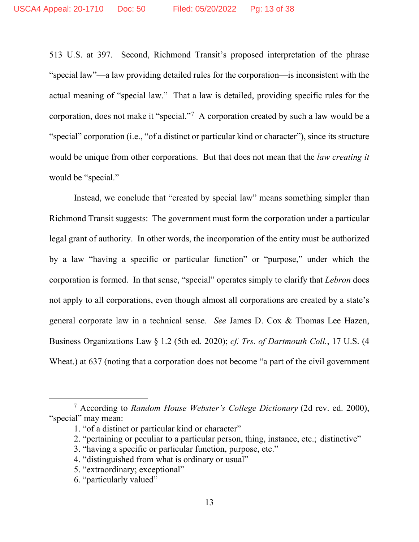513 U.S. at 397. Second, Richmond Transit's proposed interpretation of the phrase "special law"—a law providing detailed rules for the corporation—is inconsistent with the actual meaning of "special law." That a law is detailed, providing specific rules for the corporation, does not make it "special."[7](#page-12-0) A corporation created by such a law would be a "special" corporation (i.e., "of a distinct or particular kind or character"), since its structure would be unique from other corporations. But that does not mean that the *law creating it* would be "special."

Instead, we conclude that "created by special law" means something simpler than Richmond Transit suggests: The government must form the corporation under a particular legal grant of authority. In other words, the incorporation of the entity must be authorized by a law "having a specific or particular function" or "purpose," under which the corporation is formed. In that sense, "special" operates simply to clarify that *Lebron* does not apply to all corporations, even though almost all corporations are created by a state's general corporate law in a technical sense. *See* James D. Cox & Thomas Lee Hazen, Business Organizations Law § 1.2 (5th ed. 2020); *cf. Trs. of Dartmouth Coll.*, 17 U.S. (4 Wheat.) at 637 (noting that a corporation does not become "a part of the civil government

2. "pertaining or peculiar to a particular person, thing, instance, etc.; distinctive"

<span id="page-12-0"></span><sup>7</sup> According to *Random House Webster's College Dictionary* (2d rev. ed. 2000), "special" may mean:

<sup>1. &</sup>quot;of a distinct or particular kind or character"

<sup>3. &</sup>quot;having a specific or particular function, purpose, etc."

<sup>4.</sup> "distinguished from what is ordinary or usual"

<sup>5. &</sup>quot;extraordinary; exceptional"

<sup>6. &</sup>quot;particularly valued"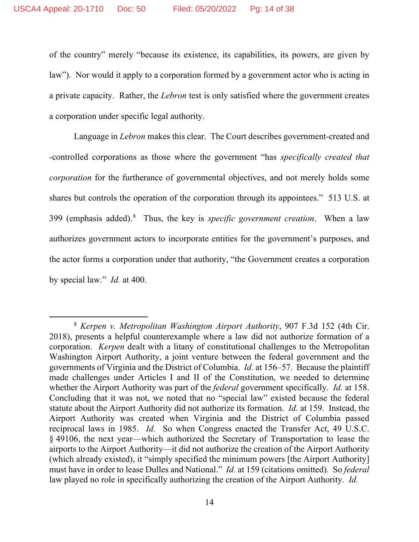of the country" merely "because its existence, its capabilities, its powers, are given by law"). Nor would it apply to a corporation formed by a government actor who is acting in a private capacity. Rather, the *Lebron* test is only satisfied where the government creates a corporation under specific legal authority.

Language in *Lebron* makes this clear. The Court describes government-created and -controlled corporations as those where the government "has *specifically created that corporation* for the furtherance of governmental objectives, and not merely holds some shares but controls the operation of the corporation through its appointees." 513 U.S. at 399 (emphasis added).[8](#page-13-0) Thus, the key is *specific government creation*. When a law authorizes government actors to incorporate entities for the government's purposes, and the actor forms a corporation under that authority, "the Government creates a corporation by special law." *Id.* at 400.

<span id="page-13-0"></span><sup>8</sup> *Kerpen v. Metropolitan Washington Airport Authority*, 907 F.3d 152 (4th Cir. 2018), presents a helpful counterexample where a law did not authorize formation of a corporation. *Kerpen* dealt with a litany of constitutional challenges to the Metropolitan Washington Airport Authority, a joint venture between the federal government and the governments of Virginia and the District of Columbia. *Id.* at 156–57. Because the plaintiff made challenges under Articles I and II of the Constitution, we needed to determine whether the Airport Authority was part of the *federal* government specifically. *Id.* at 158. Concluding that it was not, we noted that no "special law" existed because the federal statute about the Airport Authority did not authorize its formation. *Id.* at 159. Instead, the Airport Authority was created when Virginia and the District of Columbia passed reciprocal laws in 1985. *Id.* So when Congress enacted the Transfer Act, 49 U.S.C. § 49106, the next year—which authorized the Secretary of Transportation to lease the airports to the Airport Authority—it did not authorize the creation of the Airport Authority (which already existed), it "simply specified the minimum powers [the Airport Authority] must have in order to lease Dulles and National." *Id.* at 159 (citations omitted).So *federal*  law played no role in specifically authorizing the creation of the Airport Authority. *Id.*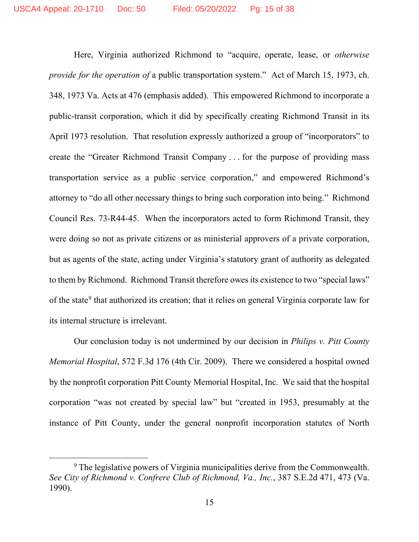Here, Virginia authorized Richmond to "acquire, operate, lease, or *otherwise provide for the operation of* a public transportation system." Act of March 15, 1973, ch. 348, 1973 Va. Acts at 476 (emphasis added). This empowered Richmond to incorporate a public-transit corporation, which it did by specifically creating Richmond Transit in its April 1973 resolution. That resolution expressly authorized a group of "incorporators" to create the "Greater Richmond Transit Company . . . for the purpose of providing mass transportation service as a public service corporation," and empowered Richmond's attorney to "do all other necessary things to bring such corporation into being." Richmond Council Res. 73-R44-45. When the incorporators acted to form Richmond Transit, they were doing so not as private citizens or as ministerial approvers of a private corporation, but as agents of the state, acting under Virginia's statutory grant of authority as delegated to them by Richmond. Richmond Transit therefore owes its existence to two "special laws" of the state<sup>[9](#page-14-0)</sup> that authorized its creation; that it relies on general Virginia corporate law for its internal structure is irrelevant.

Our conclusion today is not undermined by our decision in *Philips v. Pitt County Memorial Hospital*, 572 F.3d 176 (4th Cir. 2009). There we considered a hospital owned by the nonprofit corporation Pitt County Memorial Hospital, Inc. We said that the hospital corporation "was not created by special law" but "created in 1953, presumably at the instance of Pitt County, under the general nonprofit incorporation statutes of North

<span id="page-14-0"></span><sup>&</sup>lt;sup>9</sup> The legislative powers of Virginia municipalities derive from the Commonwealth. *See City of Richmond v. Confrere Club of Richmond, Va., Inc.*, 387 S.E.2d 471, 473 (Va. 1990).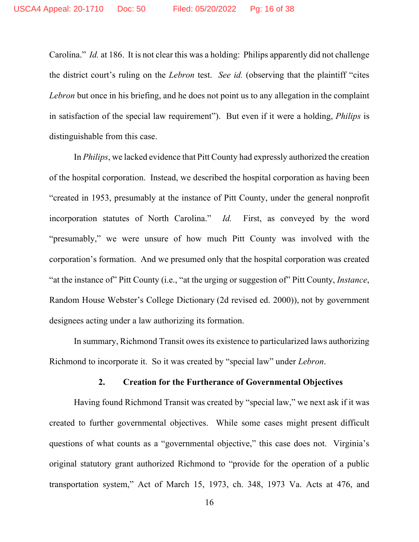Carolina." *Id.* at 186. It is not clear this was a holding: Philips apparently did not challenge the district court's ruling on the *Lebron* test. *See id.* (observing that the plaintiff "cites *Lebron* but once in his briefing, and he does not point us to any allegation in the complaint in satisfaction of the special law requirement"). But even if it were a holding, *Philips* is distinguishable from this case.

In *Philips*, we lacked evidence that Pitt County had expressly authorized the creation of the hospital corporation. Instead, we described the hospital corporation as having been "created in 1953, presumably at the instance of Pitt County, under the general nonprofit incorporation statutes of North Carolina." *Id.* First, as conveyed by the word "presumably," we were unsure of how much Pitt County was involved with the corporation's formation. And we presumed only that the hospital corporation was created "at the instance of" Pitt County (i.e., "at the urging or suggestion of" Pitt County, *Instance*, Random House Webster's College Dictionary (2d revised ed. 2000)), not by government designees acting under a law authorizing its formation.

In summary, Richmond Transit owes its existence to particularized laws authorizing Richmond to incorporate it. So it was created by "special law" under *Lebron*.

### **2. Creation for the Furtherance of Governmental Objectives**

Having found Richmond Transit was created by "special law," we next ask if it was created to further governmental objectives. While some cases might present difficult questions of what counts as a "governmental objective," this case does not. Virginia's original statutory grant authorized Richmond to "provide for the operation of a public transportation system," Act of March 15, 1973, ch. 348, 1973 Va. Acts at 476, and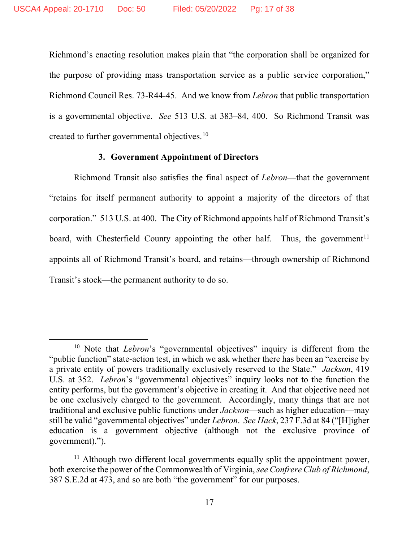Richmond's enacting resolution makes plain that "the corporation shall be organized for the purpose of providing mass transportation service as a public service corporation," Richmond Council Res. 73-R44-45. And we know from *Lebron* that public transportation is a governmental objective. *See* 513 U.S. at 383–84, 400. So Richmond Transit was created to further governmental objectives.<sup>[10](#page-16-0)</sup>

### **3. Government Appointment of Directors**

Richmond Transit also satisfies the final aspect of *Lebron*—that the government "retains for itself permanent authority to appoint a majority of the directors of that corporation." 513 U.S. at 400. The City of Richmond appoints half of Richmond Transit's board, with Chesterfield County appointing the other half. Thus, the government<sup>[11](#page-16-1)</sup> appoints all of Richmond Transit's board, and retains—through ownership of Richmond Transit's stock—the permanent authority to do so.

<span id="page-16-0"></span><sup>&</sup>lt;sup>10</sup> Note that *Lebron*'s "governmental objectives" inquiry is different from the "public function" state-action test, in which we ask whether there has been an "exercise by a private entity of powers traditionally exclusively reserved to the State." *Jackson*, 419 U.S. at 352. *Lebron*'s "governmental objectives" inquiry looks not to the function the entity performs, but the government's objective in creating it. And that objective need not be one exclusively charged to the government. Accordingly, many things that are not traditional and exclusive public functions under *Jackson*—such as higher education—may still be valid "governmental objectives" under *Lebron*. *See Hack*, 237 F.3d at 84 ("[H]igher education is a government objective (although not the exclusive province of government).").

<span id="page-16-1"></span><sup>&</sup>lt;sup>11</sup> Although two different local governments equally split the appointment power, both exercise the power of the Commonwealth of Virginia, *see Confrere Club of Richmond*, 387 S.E.2d at 473, and so are both "the government" for our purposes.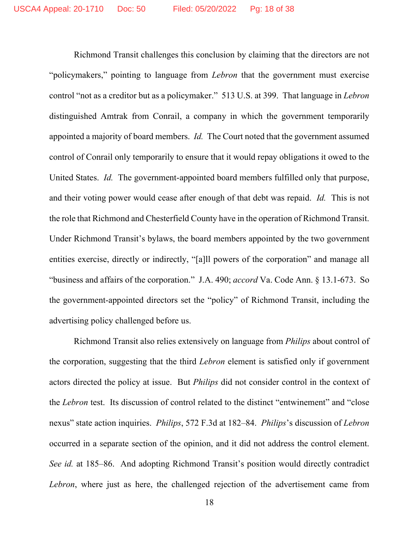Richmond Transit challenges this conclusion by claiming that the directors are not "policymakers," pointing to language from *Lebron* that the government must exercise control "not as a creditor but as a policymaker." 513 U.S. at 399. That language in *Lebron*  distinguished Amtrak from Conrail, a company in which the government temporarily appointed a majority of board members. *Id.* The Court noted that the government assumed control of Conrail only temporarily to ensure that it would repay obligations it owed to the United States. *Id.* The government-appointed board members fulfilled only that purpose, and their voting power would cease after enough of that debt was repaid. *Id.* This is not the role that Richmond and Chesterfield County have in the operation of Richmond Transit. Under Richmond Transit's bylaws, the board members appointed by the two government entities exercise, directly or indirectly, "[a]ll powers of the corporation" and manage all "business and affairs of the corporation." J.A. 490; *accord* Va. Code Ann. § 13.1-673. So the government-appointed directors set the "policy" of Richmond Transit, including the advertising policy challenged before us.

Richmond Transit also relies extensively on language from *Philips* about control of the corporation, suggesting that the third *Lebron* element is satisfied only if government actors directed the policy at issue. But *Philips* did not consider control in the context of the *Lebron* test. Its discussion of control related to the distinct "entwinement" and "close nexus" state action inquiries. *Philips*, 572 F.3d at 182–84. *Philips*'s discussion of *Lebron* occurred in a separate section of the opinion, and it did not address the control element. *See id.* at 185–86. And adopting Richmond Transit's position would directly contradict *Lebron*, where just as here, the challenged rejection of the advertisement came from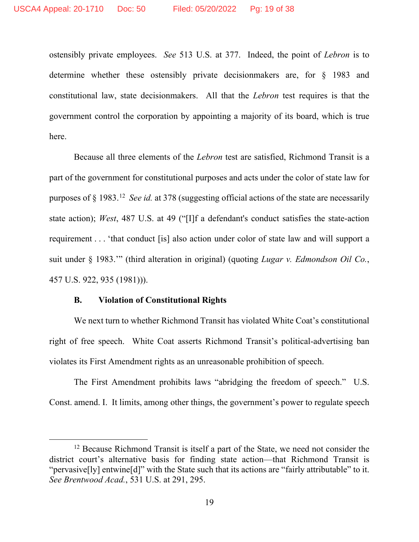ostensibly private employees. *See* 513 U.S. at 377. Indeed, the point of *Lebron* is to determine whether these ostensibly private decisionmakers are, for § 1983 and constitutional law, state decisionmakers. All that the *Lebron* test requires is that the government control the corporation by appointing a majority of its board, which is true here.

Because all three elements of the *Lebron* test are satisfied, Richmond Transit is a part of the government for constitutional purposes and acts under the color of state law for purposes of § 1983. [12](#page-18-0) *See id.* at 378 (suggesting official actions of the state are necessarily state action); *West*, 487 U.S. at 49 ("[I]f a defendant's conduct satisfies the state-action requirement . . . 'that conduct [is] also action under color of state law and will support a suit under § 1983.'" (third alteration in original) (quoting *Lugar v. Edmondson Oil Co.*, 457 U.S. 922, 935 (1981))).

## **B. Violation of Constitutional Rights**

We next turn to whether Richmond Transit has violated White Coat's constitutional right of free speech. White Coat asserts Richmond Transit's political-advertising ban violates its First Amendment rights as an unreasonable prohibition of speech.

The First Amendment prohibits laws "abridging the freedom of speech." U.S. Const. amend. I. It limits, among other things, the government's power to regulate speech

<span id="page-18-0"></span><sup>&</sup>lt;sup>12</sup> Because Richmond Transit is itself a part of the State, we need not consider the district court's alternative basis for finding state action—that Richmond Transit is "pervasive[ly] entwine[d]" with the State such that its actions are "fairly attributable" to it. *See Brentwood Acad.*, 531 U.S. at 291, 295.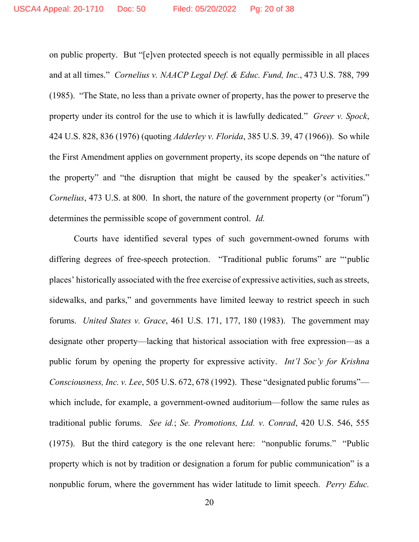on public property. But "[e]ven protected speech is not equally permissible in all places and at all times." *Cornelius v. NAACP Legal Def. & Educ. Fund, Inc.*, 473 U.S. 788, 799 (1985). "The State, no less than a private owner of property, has the power to preserve the property under its control for the use to which it is lawfully dedicated." *Greer v. Spock*, 424 U.S. 828, 836 (1976) (quoting *Adderley v. Florida*, 385 U.S. 39, 47 (1966)). So while the First Amendment applies on government property, its scope depends on "the nature of the property" and "the disruption that might be caused by the speaker's activities." *Cornelius*, 473 U.S. at 800. In short, the nature of the government property (or "forum") determines the permissible scope of government control. *Id.*

Courts have identified several types of such government-owned forums with differing degrees of free-speech protection. "Traditional public forums" are "'public places' historically associated with the free exercise of expressive activities, such as streets, sidewalks, and parks," and governments have limited leeway to restrict speech in such forums. *United States v. Grace*, 461 U.S. 171, 177, 180 (1983). The government may designate other property—lacking that historical association with free expression—as a public forum by opening the property for expressive activity. *Int'l Soc'y for Krishna Consciousness, Inc. v. Lee*, 505 U.S. 672, 678 (1992). These "designated public forums" which include, for example, a government-owned auditorium—follow the same rules as traditional public forums. *See id.*; *Se. Promotions, Ltd. v. Conrad*, 420 U.S. 546, 555 (1975). But the third category is the one relevant here: "nonpublic forums." "Public property which is not by tradition or designation a forum for public communication" is a nonpublic forum, where the government has wider latitude to limit speech. *Perry Educ.*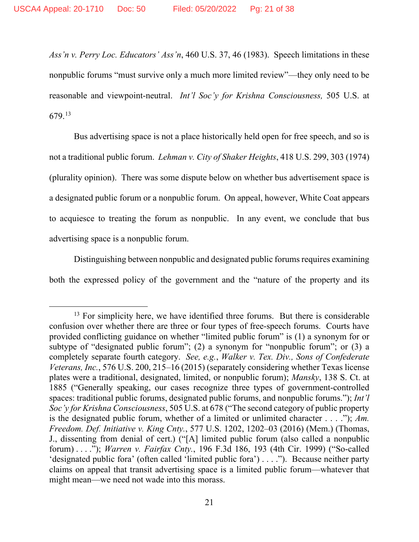*Ass'n v. Perry Loc. Educators' Ass'n*, 460 U.S. 37, 46 (1983). Speech limitations in these nonpublic forums "must survive only a much more limited review"—they only need to be reasonable and viewpoint-neutral. *Int'l Soc'y for Krishna Consciousness,* 505 U.S. at 679. [13](#page-20-0)

Bus advertising space is not a place historically held open for free speech, and so is not a traditional public forum. *Lehman v. City of Shaker Heights*, 418 U.S. 299, 303 (1974) (plurality opinion). There was some dispute below on whether bus advertisement space is a designated public forum or a nonpublic forum. On appeal, however, White Coat appears to acquiesce to treating the forum as nonpublic. In any event, we conclude that bus advertising space is a nonpublic forum.

Distinguishing between nonpublic and designated public forums requires examining both the expressed policy of the government and the "nature of the property and its

<span id="page-20-0"></span> $13$  For simplicity here, we have identified three forums. But there is considerable confusion over whether there are three or four types of free-speech forums. Courts have provided conflicting guidance on whether "limited public forum" is (1) a synonym for or subtype of "designated public forum"; (2) a synonym for "nonpublic forum"; or (3) a completely separate fourth category. *See, e.g.*, *Walker v. Tex. Div., Sons of Confederate Veterans, Inc.*, 576 U.S. 200, 215–16 (2015) (separately considering whether Texas license plates were a traditional, designated, limited, or nonpublic forum); *Mansky*, 138 S. Ct. at 1885 ("Generally speaking, our cases recognize three types of government-controlled spaces: traditional public forums, designated public forums, and nonpublic forums."); *Int'l Soc'y for Krishna Consciousness*, 505 U.S. at 678 ("The second category of public property is the designated public forum, whether of a limited or unlimited character . . . ."); *Am. Freedom. Def. Initiative v. King Cnty.*, 577 U.S. 1202, 1202–03 (2016) (Mem.) (Thomas, J., dissenting from denial of cert.) ("[A] limited public forum (also called a nonpublic forum) . . . ."); *Warren v. Fairfax Cnty.*, 196 F.3d 186, 193 (4th Cir. 1999) ("So-called 'designated public fora' (often called 'limited public fora') . . . ."). Because neither party claims on appeal that transit advertising space is a limited public forum—whatever that might mean—we need not wade into this morass.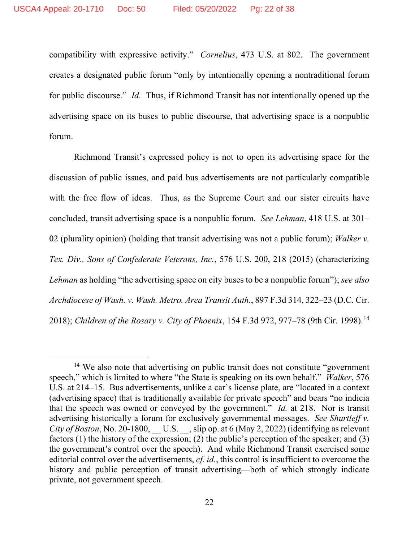compatibility with expressive activity." *Cornelius*, 473 U.S. at 802. The government creates a designated public forum "only by intentionally opening a nontraditional forum for public discourse." *Id.* Thus, if Richmond Transit has not intentionally opened up the advertising space on its buses to public discourse, that advertising space is a nonpublic forum.

Richmond Transit's expressed policy is not to open its advertising space for the discussion of public issues, and paid bus advertisements are not particularly compatible with the free flow of ideas. Thus, as the Supreme Court and our sister circuits have concluded, transit advertising space is a nonpublic forum. *See Lehman*, 418 U.S. at 301– 02 (plurality opinion) (holding that transit advertising was not a public forum); *Walker v. Tex. Div., Sons of Confederate Veterans, Inc.*, 576 U.S. 200, 218 (2015) (characterizing *Lehman* as holding "the advertising space on city buses to be a nonpublic forum"); *see also Archdiocese of Wash. v. Wash. Metro. Area Transit Auth.*, 897 F.3d 314, 322–23 (D.C. Cir. 2018); *Children of the Rosary v. City of Phoenix*, 154 F.3d 972, 977–78 (9th Cir. 1998). [14](#page-21-0)

<span id="page-21-0"></span><sup>&</sup>lt;sup>14</sup> We also note that advertising on public transit does not constitute "government" speech," which is limited to where "the State is speaking on its own behalf." *Walker*, 576 U.S. at 214–15. Bus advertisements, unlike a car's license plate, are "located in a context (advertising space) that is traditionally available for private speech" and bears "no indicia that the speech was owned or conveyed by the government." *Id.* at 218. Nor is transit advertising historically a forum for exclusively governmental messages. *See Shurtleff v. City of Boston*, No. 20-1800, U.S. Slip op. at 6 (May 2, 2022) (identifying as relevant factors (1) the history of the expression; (2) the public's perception of the speaker; and (3) the government's control over the speech). And while Richmond Transit exercised some editorial control over the advertisements, *cf. id.*, this control is insufficient to overcome the history and public perception of transit advertising—both of which strongly indicate private, not government speech.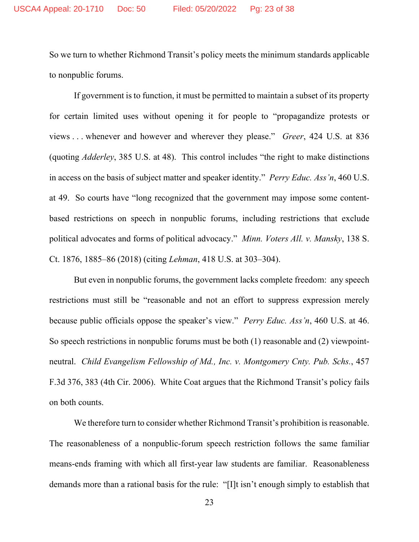So we turn to whether Richmond Transit's policy meets the minimum standards applicable to nonpublic forums.

If government is to function, it must be permitted to maintain a subset of its property for certain limited uses without opening it for people to "propagandize protests or views . . . whenever and however and wherever they please." *Greer*, 424 U.S. at 836 (quoting *Adderley*, 385 U.S. at 48). This control includes "the right to make distinctions in access on the basis of subject matter and speaker identity." *Perry Educ. Ass'n*, 460 U.S. at 49. So courts have "long recognized that the government may impose some contentbased restrictions on speech in nonpublic forums, including restrictions that exclude political advocates and forms of political advocacy." *Minn. Voters All. v. Mansky*, 138 S. Ct. 1876, 1885–86 (2018) (citing *Lehman*, 418 U.S. at 303–304).

But even in nonpublic forums, the government lacks complete freedom: any speech restrictions must still be "reasonable and not an effort to suppress expression merely because public officials oppose the speaker's view." *Perry Educ. Ass'n*, 460 U.S. at 46. So speech restrictions in nonpublic forums must be both (1) reasonable and (2) viewpointneutral. *Child Evangelism Fellowship of Md., Inc. v. Montgomery Cnty. Pub. Schs.*, 457 F.3d 376, 383 (4th Cir. 2006). White Coat argues that the Richmond Transit's policy fails on both counts.

We therefore turn to consider whether Richmond Transit's prohibition is reasonable. The reasonableness of a nonpublic-forum speech restriction follows the same familiar means-ends framing with which all first-year law students are familiar. Reasonableness demands more than a rational basis for the rule: "[I]t isn't enough simply to establish that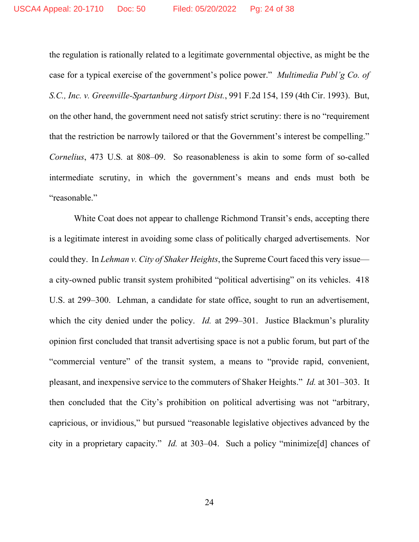the regulation is rationally related to a legitimate governmental objective, as might be the case for a typical exercise of the government's police power." *Multimedia Publ'g Co. of S.C., Inc. v. Greenville-Spartanburg Airport Dist.*, 991 F.2d 154, 159 (4th Cir. 1993). But, on the other hand, the government need not satisfy strict scrutiny: there is no "requirement that the restriction be narrowly tailored or that the Government's interest be compelling." *Cornelius*, 473 U.S*.* at 808–09. So reasonableness is akin to some form of so-called intermediate scrutiny, in which the government's means and ends must both be "reasonable."

White Coat does not appear to challenge Richmond Transit's ends, accepting there is a legitimate interest in avoiding some class of politically charged advertisements. Nor could they. In *Lehman v. City of Shaker Heights*, the Supreme Court faced this very issue a city-owned public transit system prohibited "political advertising" on its vehicles. 418 U.S. at 299–300. Lehman, a candidate for state office, sought to run an advertisement, which the city denied under the policy. *Id.* at 299–301. Justice Blackmun's plurality opinion first concluded that transit advertising space is not a public forum, but part of the "commercial venture" of the transit system, a means to "provide rapid, convenient, pleasant, and inexpensive service to the commuters of Shaker Heights." *Id.* at 301–303. It then concluded that the City's prohibition on political advertising was not "arbitrary, capricious, or invidious," but pursued "reasonable legislative objectives advanced by the city in a proprietary capacity." *Id.* at 303–04. Such a policy "minimize[d] chances of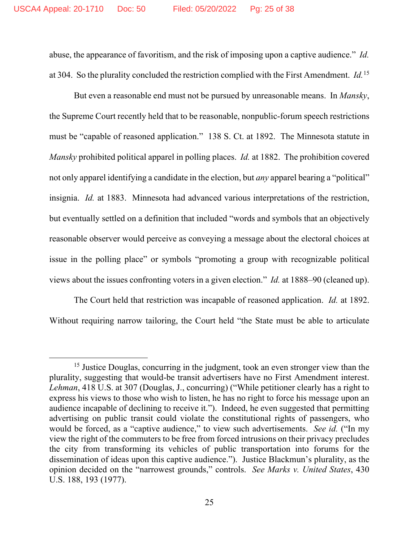abuse, the appearance of favoritism, and the risk of imposing upon a captive audience." *Id.* at 304. So the plurality concluded the restriction complied with the First Amendment. *Id.*[15](#page-24-0)

But even a reasonable end must not be pursued by unreasonable means. In *Mansky*, the Supreme Court recently held that to be reasonable, nonpublic-forum speech restrictions must be "capable of reasoned application." 138 S. Ct. at 1892. The Minnesota statute in *Mansky* prohibited political apparel in polling places. *Id.* at 1882. The prohibition covered not only apparel identifying a candidate in the election, but *any* apparel bearing a "political" insignia. *Id.* at 1883. Minnesota had advanced various interpretations of the restriction, but eventually settled on a definition that included "words and symbols that an objectively reasonable observer would perceive as conveying a message about the electoral choices at issue in the polling place" or symbols "promoting a group with recognizable political views about the issues confronting voters in a given election." *Id.* at 1888–90 (cleaned up).

The Court held that restriction was incapable of reasoned application. *Id.* at 1892. Without requiring narrow tailoring, the Court held "the State must be able to articulate

<span id="page-24-0"></span><sup>&</sup>lt;sup>15</sup> Justice Douglas, concurring in the judgment, took an even stronger view than the plurality, suggesting that would-be transit advertisers have no First Amendment interest. *Lehman*, 418 U.S. at 307 (Douglas, J., concurring) ("While petitioner clearly has a right to express his views to those who wish to listen, he has no right to force his message upon an audience incapable of declining to receive it."). Indeed, he even suggested that permitting advertising on public transit could violate the constitutional rights of passengers, who would be forced, as a "captive audience," to view such advertisements. *See id.* ("In my view the right of the commuters to be free from forced intrusions on their privacy precludes the city from transforming its vehicles of public transportation into forums for the dissemination of ideas upon this captive audience."). Justice Blackmun's plurality, as the opinion decided on the "narrowest grounds," controls. *See Marks v. United States*, 430 U.S. 188, 193 (1977).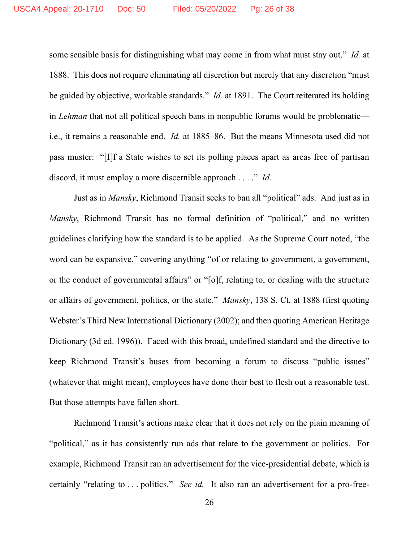some sensible basis for distinguishing what may come in from what must stay out." *Id.* at 1888. This does not require eliminating all discretion but merely that any discretion "must be guided by objective, workable standards." *Id.* at 1891. The Court reiterated its holding in *Lehman* that not all political speech bans in nonpublic forums would be problematic i.e., it remains a reasonable end. *Id.* at 1885–86. But the means Minnesota used did not pass muster: "[I]f a State wishes to set its polling places apart as areas free of partisan discord, it must employ a more discernible approach . . . ." *Id.*

Just as in *Mansky*, Richmond Transit seeks to ban all "political" ads. And just as in *Mansky*, Richmond Transit has no formal definition of "political," and no written guidelines clarifying how the standard is to be applied. As the Supreme Court noted, "the word can be expansive," covering anything "of or relating to government, a government, or the conduct of governmental affairs" or "[o]f, relating to, or dealing with the structure or affairs of government, politics, or the state." *Mansky*, 138 S. Ct. at 1888 (first quoting Webster's Third New International Dictionary (2002); and then quoting American Heritage Dictionary (3d ed. 1996)). Faced with this broad, undefined standard and the directive to keep Richmond Transit's buses from becoming a forum to discuss "public issues" (whatever that might mean), employees have done their best to flesh out a reasonable test. But those attempts have fallen short.

Richmond Transit's actions make clear that it does not rely on the plain meaning of "political," as it has consistently run ads that relate to the government or politics. For example, Richmond Transit ran an advertisement for the vice-presidential debate, which is certainly "relating to . . . politics." *See id.* It also ran an advertisement for a pro-free-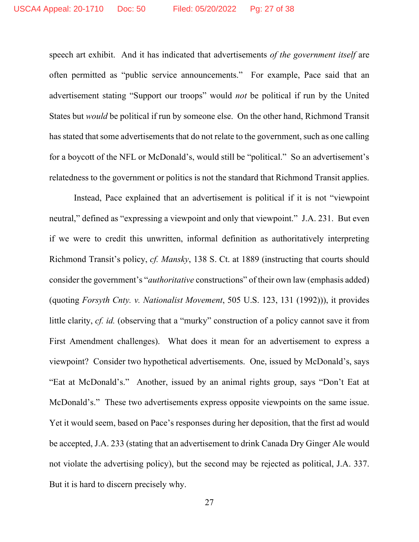speech art exhibit. And it has indicated that advertisements *of the government itself* are often permitted as "public service announcements." For example, Pace said that an advertisement stating "Support our troops" would *not* be political if run by the United States but *would* be political if run by someone else. On the other hand, Richmond Transit has stated that some advertisements that do not relate to the government, such as one calling for a boycott of the NFL or McDonald's, would still be "political." So an advertisement's relatedness to the government or politics is not the standard that Richmond Transit applies.

Instead, Pace explained that an advertisement is political if it is not "viewpoint neutral," defined as "expressing a viewpoint and only that viewpoint." J.A. 231. But even if we were to credit this unwritten, informal definition as authoritatively interpreting Richmond Transit's policy, *cf. Mansky*, 138 S. Ct. at 1889 (instructing that courts should consider the government's "*authoritative* constructions" of their own law (emphasis added) (quoting *Forsyth Cnty. v. Nationalist Movement*, 505 U.S. 123, 131 (1992))), it provides little clarity, *cf. id.* (observing that a "murky" construction of a policy cannot save it from First Amendment challenges). What does it mean for an advertisement to express a viewpoint? Consider two hypothetical advertisements. One, issued by McDonald's, says "Eat at McDonald's." Another, issued by an animal rights group, says "Don't Eat at McDonald's." These two advertisements express opposite viewpoints on the same issue. Yet it would seem, based on Pace's responses during her deposition, that the first ad would be accepted, J.A. 233 (stating that an advertisement to drink Canada Dry Ginger Ale would not violate the advertising policy), but the second may be rejected as political, J.A. 337. But it is hard to discern precisely why.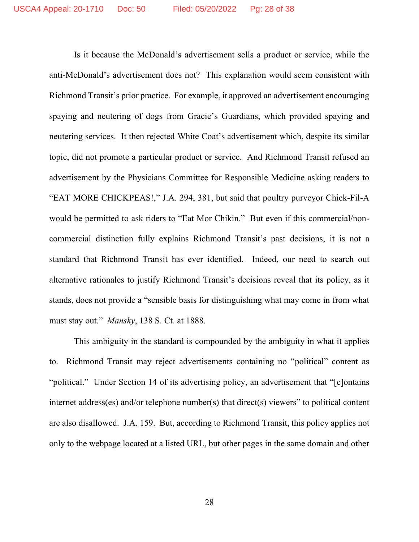Is it because the McDonald's advertisement sells a product or service, while the anti-McDonald's advertisement does not? This explanation would seem consistent with Richmond Transit's prior practice. For example, it approved an advertisement encouraging spaying and neutering of dogs from Gracie's Guardians, which provided spaying and neutering services. It then rejected White Coat's advertisement which, despite its similar topic, did not promote a particular product or service. And Richmond Transit refused an advertisement by the Physicians Committee for Responsible Medicine asking readers to "EAT MORE CHICKPEAS!," J.A. 294, 381, but said that poultry purveyor Chick-Fil-A would be permitted to ask riders to "Eat Mor Chikin." But even if this commercial/noncommercial distinction fully explains Richmond Transit's past decisions, it is not a standard that Richmond Transit has ever identified. Indeed, our need to search out alternative rationales to justify Richmond Transit's decisions reveal that its policy, as it stands, does not provide a "sensible basis for distinguishing what may come in from what must stay out." *Mansky*, 138 S. Ct. at 1888.

This ambiguity in the standard is compounded by the ambiguity in what it applies to. Richmond Transit may reject advertisements containing no "political" content as "political." Under Section 14 of its advertising policy, an advertisement that "[c]ontains internet address(es) and/or telephone number(s) that direct(s) viewers" to political content are also disallowed. J.A. 159. But, according to Richmond Transit, this policy applies not only to the webpage located at a listed URL, but other pages in the same domain and other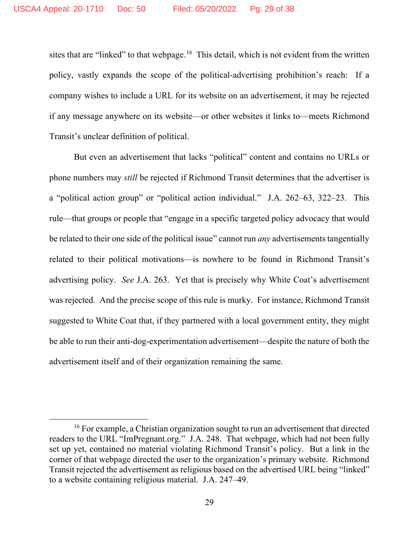sites that are "linked" to that webpage.<sup>[16](#page-28-0)</sup> This detail, which is not evident from the written policy, vastly expands the scope of the political-advertising prohibition's reach: If a company wishes to include a URL for its website on an advertisement, it may be rejected if any message anywhere on its website—or other websites it links to—meets Richmond Transit's unclear definition of political.

But even an advertisement that lacks "political" content and contains no URLs or phone numbers may *still* be rejected if Richmond Transit determines that the advertiser is a "political action group" or "political action individual." J.A. 262–63, 322–23. This rule—that groups or people that "engage in a specific targeted policy advocacy that would be related to their one side of the political issue" cannot run *any* advertisements tangentially related to their political motivations—is nowhere to be found in Richmond Transit's advertising policy. *See* J.A. 263. Yet that is precisely why White Coat's advertisement was rejected. And the precise scope of this rule is murky. For instance, Richmond Transit suggested to White Coat that, if they partnered with a local government entity, they might be able to run their anti-dog-experimentation advertisement—despite the nature of both the advertisement itself and of their organization remaining the same.

<span id="page-28-0"></span><sup>&</sup>lt;sup>16</sup> For example, a Christian organization sought to run an advertisement that directed readers to the URL "ImPregnant.org." J.A. 248. That webpage, which had not been fully set up yet, contained no material violating Richmond Transit's policy. But a link in the corner of that webpage directed the user to the organization's primary website. Richmond Transit rejected the advertisement as religious based on the advertised URL being "linked" to a website containing religious material. J.A. 247–49.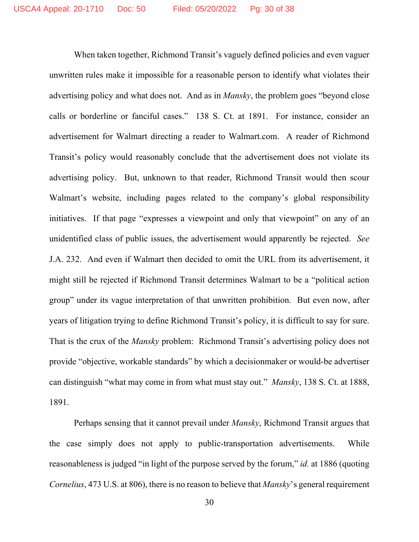When taken together, Richmond Transit's vaguely defined policies and even vaguer unwritten rules make it impossible for a reasonable person to identify what violates their advertising policy and what does not. And as in *Mansky*, the problem goes "beyond close calls or borderline or fanciful cases." 138 S. Ct. at 1891. For instance, consider an advertisement for Walmart directing a reader to Walmart.com. A reader of Richmond Transit's policy would reasonably conclude that the advertisement does not violate its advertising policy. But, unknown to that reader, Richmond Transit would then scour Walmart's website, including pages related to the company's global responsibility initiatives. If that page "expresses a viewpoint and only that viewpoint" on any of an unidentified class of public issues, the advertisement would apparently be rejected. *See*  J.A. 232. And even if Walmart then decided to omit the URL from its advertisement, it might still be rejected if Richmond Transit determines Walmart to be a "political action group" under its vague interpretation of that unwritten prohibition. But even now, after years of litigation trying to define Richmond Transit's policy, it is difficult to say for sure. That is the crux of the *Mansky* problem: Richmond Transit's advertising policy does not provide "objective, workable standards" by which a decisionmaker or would-be advertiser can distinguish "what may come in from what must stay out." *Mansky*, 138 S. Ct. at 1888, 1891.

Perhaps sensing that it cannot prevail under *Mansky*, Richmond Transit argues that the case simply does not apply to public-transportation advertisements. While reasonableness is judged "in light of the purpose served by the forum," *id.* at 1886 (quoting *Cornelius*, 473 U.S. at 806), there is no reason to believe that *Mansky*'s general requirement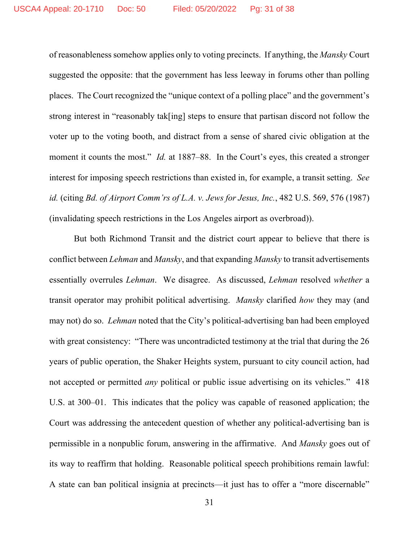of reasonableness somehow applies only to voting precincts. If anything, the *Mansky* Court suggested the opposite: that the government has less leeway in forums other than polling places. The Court recognized the "unique context of a polling place" and the government's strong interest in "reasonably tak[ing] steps to ensure that partisan discord not follow the voter up to the voting booth, and distract from a sense of shared civic obligation at the moment it counts the most." *Id.* at 1887–88. In the Court's eyes, this created a stronger interest for imposing speech restrictions than existed in, for example, a transit setting. *See id.* (citing *Bd. of Airport Comm'rs of L.A. v. Jews for Jesus, Inc.*, 482 U.S. 569, 576 (1987) (invalidating speech restrictions in the Los Angeles airport as overbroad)).

But both Richmond Transit and the district court appear to believe that there is conflict between *Lehman* and *Mansky*, and that expanding *Mansky* to transit advertisements essentially overrules *Lehman*. We disagree. As discussed, *Lehman* resolved *whether* a transit operator may prohibit political advertising. *Mansky* clarified *how* they may (and may not) do so. *Lehman* noted that the City's political-advertising ban had been employed with great consistency: "There was uncontradicted testimony at the trial that during the 26 years of public operation, the Shaker Heights system, pursuant to city council action, had not accepted or permitted *any* political or public issue advertising on its vehicles." 418 U.S. at 300–01. This indicates that the policy was capable of reasoned application; the Court was addressing the antecedent question of whether any political-advertising ban is permissible in a nonpublic forum, answering in the affirmative. And *Mansky* goes out of its way to reaffirm that holding. Reasonable political speech prohibitions remain lawful: A state can ban political insignia at precincts—it just has to offer a "more discernable"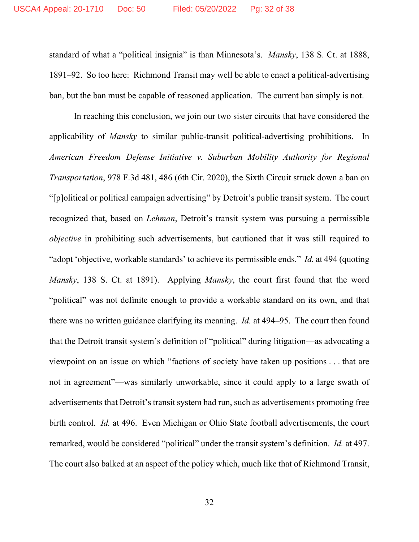standard of what a "political insignia" is than Minnesota's. *Mansky*, 138 S. Ct. at 1888, 1891–92. So too here: Richmond Transit may well be able to enact a political-advertising ban, but the ban must be capable of reasoned application. The current ban simply is not.

In reaching this conclusion, we join our two sister circuits that have considered the applicability of *Mansky* to similar public-transit political-advertising prohibitions. In *American Freedom Defense Initiative v. Suburban Mobility Authority for Regional Transportation*, 978 F.3d 481, 486 (6th Cir. 2020), the Sixth Circuit struck down a ban on "[p]olitical or political campaign advertising" by Detroit's public transit system. The court recognized that, based on *Lehman*, Detroit's transit system was pursuing a permissible *objective* in prohibiting such advertisements, but cautioned that it was still required to "adopt 'objective, workable standards' to achieve its permissible ends." *Id.* at 494 (quoting *Mansky*, 138 S. Ct. at 1891). Applying *Mansky*, the court first found that the word "political" was not definite enough to provide a workable standard on its own, and that there was no written guidance clarifying its meaning. *Id.* at 494–95. The court then found that the Detroit transit system's definition of "political" during litigation—as advocating a viewpoint on an issue on which "factions of society have taken up positions . . . that are not in agreement"—was similarly unworkable, since it could apply to a large swath of advertisements that Detroit's transit system had run, such as advertisements promoting free birth control. *Id.* at 496. Even Michigan or Ohio State football advertisements, the court remarked, would be considered "political" under the transit system's definition. *Id.* at 497. The court also balked at an aspect of the policy which, much like that of Richmond Transit,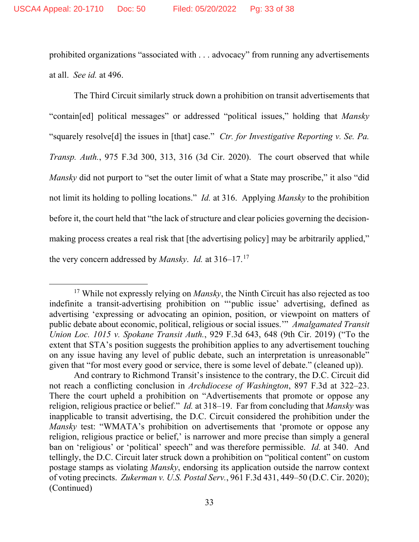prohibited organizations "associated with . . . advocacy" from running any advertisements at all. *See id.* at 496.

The Third Circuit similarly struck down a prohibition on transit advertisements that "contain[ed] political messages" or addressed "political issues," holding that *Mansky* "squarely resolve[d] the issues in [that] case." *Ctr. for Investigative Reporting v. Se. Pa. Transp. Auth.*, 975 F.3d 300, 313, 316 (3d Cir. 2020). The court observed that while *Mansky* did not purport to "set the outer limit of what a State may proscribe," it also "did not limit its holding to polling locations." *Id.* at 316. Applying *Mansky* to the prohibition before it, the court held that "the lack of structure and clear policies governing the decisionmaking process creates a real risk that [the advertising policy] may be arbitrarily applied," the very concern addressed by *Mansky*. *Id.* at 316–17.[17](#page-32-0)

<span id="page-32-0"></span><sup>&</sup>lt;sup>17</sup> While not expressly relying on *Mansky*, the Ninth Circuit has also rejected as too indefinite a transit-advertising prohibition on "'public issue' advertising, defined as advertising 'expressing or advocating an opinion, position, or viewpoint on matters of public debate about economic, political, religious or social issues.'" *Amalgamated Transit Union Loc. 1015 v. Spokane Transit Auth.*, 929 F.3d 643, 648 (9th Cir. 2019) ("To the extent that STA's position suggests the prohibition applies to any advertisement touching on any issue having any level of public debate, such an interpretation is unreasonable" given that "for most every good or service, there is some level of debate." (cleaned up)).

And contrary to Richmond Transit's insistence to the contrary, the D.C. Circuit did not reach a conflicting conclusion in *Archdiocese of Washington*, 897 F.3d at 322–23. There the court upheld a prohibition on "Advertisements that promote or oppose any religion, religious practice or belief." *Id.* at 318–19. Far from concluding that *Mansky* was inapplicable to transit advertising, the D.C. Circuit considered the prohibition under the *Mansky* test: "WMATA's prohibition on advertisements that 'promote or oppose any religion, religious practice or belief,' is narrower and more precise than simply a general ban on 'religious' or 'political' speech" and was therefore permissible. *Id.* at 340. And tellingly, the D.C. Circuit later struck down a prohibition on "political content" on custom postage stamps as violating *Mansky*, endorsing its application outside the narrow context of voting precincts. *Zukerman v. U.S. Postal Serv.*, 961 F.3d 431, 449–50 (D.C. Cir. 2020); (Continued)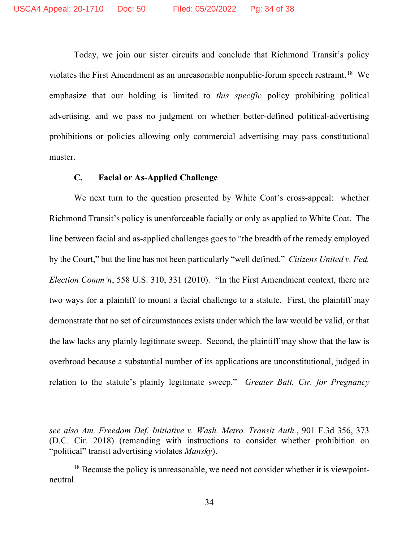Today, we join our sister circuits and conclude that Richmond Transit's policy violates the First Amendment as an unreasonable nonpublic-forum speech restraint.<sup>[18](#page-33-0)</sup> We emphasize that our holding is limited to *this specific* policy prohibiting political advertising, and we pass no judgment on whether better-defined political-advertising prohibitions or policies allowing only commercial advertising may pass constitutional muster.

# **C. Facial or As-Applied Challenge**

We next turn to the question presented by White Coat's cross-appeal: whether Richmond Transit's policy is unenforceable facially or only as applied to White Coat. The line between facial and as-applied challenges goes to "the breadth of the remedy employed by the Court," but the line has not been particularly "well defined." *Citizens United v. Fed. Election Comm'n*, 558 U.S. 310, 331 (2010). "In the First Amendment context, there are two ways for a plaintiff to mount a facial challenge to a statute. First, the plaintiff may demonstrate that no set of circumstances exists under which the law would be valid, or that the law lacks any plainly legitimate sweep. Second, the plaintiff may show that the law is overbroad because a substantial number of its applications are unconstitutional, judged in relation to the statute's plainly legitimate sweep." *Greater Balt. Ctr. for Pregnancy* 

*see also Am. Freedom Def. Initiative v. Wash. Metro. Transit Auth.*, 901 F.3d 356, 373 (D.C. Cir. 2018) (remanding with instructions to consider whether prohibition on "political" transit advertising violates *Mansky*).

<span id="page-33-0"></span> $18$  Because the policy is unreasonable, we need not consider whether it is viewpointneutral.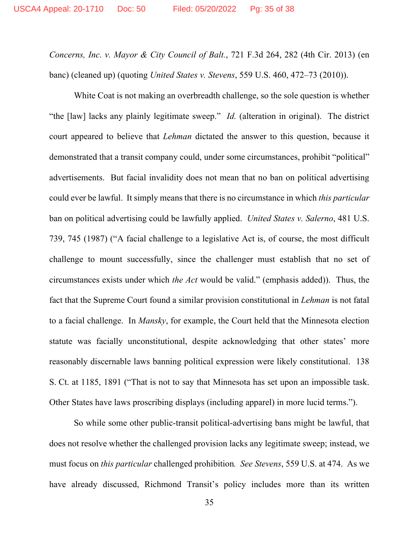*Concerns, Inc. v. Mayor & City Council of Balt.*, 721 F.3d 264, 282 (4th Cir. 2013) (en banc) (cleaned up) (quoting *United States v. Stevens*, 559 U.S. 460, 472–73 (2010)).

White Coat is not making an overbreadth challenge, so the sole question is whether "the [law] lacks any plainly legitimate sweep." *Id.* (alteration in original). The district court appeared to believe that *Lehman* dictated the answer to this question, because it demonstrated that a transit company could, under some circumstances, prohibit "political" advertisements. But facial invalidity does not mean that no ban on political advertising could ever be lawful. It simply means that there is no circumstance in which *this particular* ban on political advertising could be lawfully applied. *United States v. Salerno*, 481 U.S. 739, 745 (1987) ("A facial challenge to a legislative Act is, of course, the most difficult challenge to mount successfully, since the challenger must establish that no set of circumstances exists under which *the Act* would be valid." (emphasis added)). Thus, the fact that the Supreme Court found a similar provision constitutional in *Lehman* is not fatal to a facial challenge. In *Mansky*, for example, the Court held that the Minnesota election statute was facially unconstitutional, despite acknowledging that other states' more reasonably discernable laws banning political expression were likely constitutional. 138 S. Ct. at 1185, 1891 ("That is not to say that Minnesota has set upon an impossible task. Other States have laws proscribing displays (including apparel) in more lucid terms.").

So while some other public-transit political-advertising bans might be lawful, that does not resolve whether the challenged provision lacks any legitimate sweep; instead, we must focus on *this particular* challenged prohibition*. See Stevens*, 559 U.S. at 474. As we have already discussed, Richmond Transit's policy includes more than its written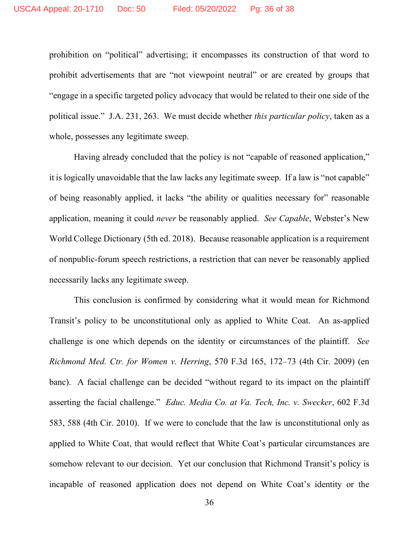prohibition on "political" advertising; it encompasses its construction of that word to prohibit advertisements that are "not viewpoint neutral" or are created by groups that "engage in a specific targeted policy advocacy that would be related to their one side of the political issue." J.A. 231, 263. We must decide whether *this particular policy*, taken as a whole, possesses any legitimate sweep.

Having already concluded that the policy is not "capable of reasoned application," it is logically unavoidable that the law lacks any legitimate sweep. If a law is "not capable" of being reasonably applied, it lacks "the ability or qualities necessary for" reasonable application, meaning it could *never* be reasonably applied. *See Capable*, Webster's New World College Dictionary (5th ed. 2018). Because reasonable application is a requirement of nonpublic-forum speech restrictions, a restriction that can never be reasonably applied necessarily lacks any legitimate sweep.

This conclusion is confirmed by considering what it would mean for Richmond Transit's policy to be unconstitutional only as applied to White Coat. An as-applied challenge is one which depends on the identity or circumstances of the plaintiff. *See Richmond Med. Ctr. for Women v. Herring*, 570 F.3d 165, 172–73 (4th Cir. 2009) (en banc). A facial challenge can be decided "without regard to its impact on the plaintiff asserting the facial challenge." *Educ. Media Co. at Va. Tech, Inc. v. Swecker*, 602 F.3d 583, 588 (4th Cir. 2010). If we were to conclude that the law is unconstitutional only as applied to White Coat, that would reflect that White Coat's particular circumstances are somehow relevant to our decision. Yet our conclusion that Richmond Transit's policy is incapable of reasoned application does not depend on White Coat's identity or the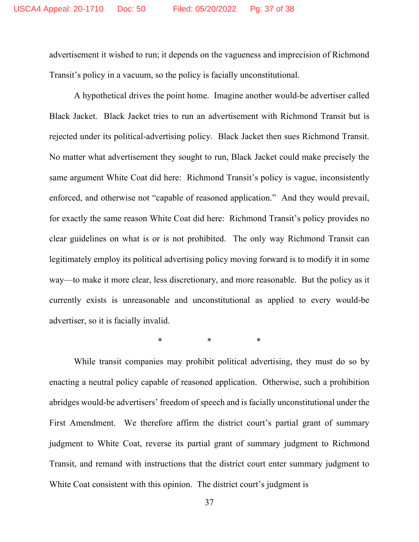advertisement it wished to run; it depends on the vagueness and imprecision of Richmond Transit's policy in a vacuum, so the policy is facially unconstitutional.

A hypothetical drives the point home. Imagine another would-be advertiser called Black Jacket. Black Jacket tries to run an advertisement with Richmond Transit but is rejected under its political-advertising policy. Black Jacket then sues Richmond Transit. No matter what advertisement they sought to run, Black Jacket could make precisely the same argument White Coat did here: Richmond Transit's policy is vague, inconsistently enforced, and otherwise not "capable of reasoned application." And they would prevail, for exactly the same reason White Coat did here: Richmond Transit's policy provides no clear guidelines on what is or is not prohibited. The only way Richmond Transit can legitimately employ its political advertising policy moving forward is to modify it in some way—to make it more clear, less discretionary, and more reasonable. But the policy as it currently exists is unreasonable and unconstitutional as applied to every would-be advertiser, so it is facially invalid.

\* \* \* \* \*

While transit companies may prohibit political advertising, they must do so by enacting a neutral policy capable of reasoned application. Otherwise, such a prohibition abridges would-be advertisers' freedom of speech and is facially unconstitutional under the First Amendment. We therefore affirm the district court's partial grant of summary judgment to White Coat, reverse its partial grant of summary judgment to Richmond Transit, and remand with instructions that the district court enter summary judgment to White Coat consistent with this opinion. The district court's judgment is